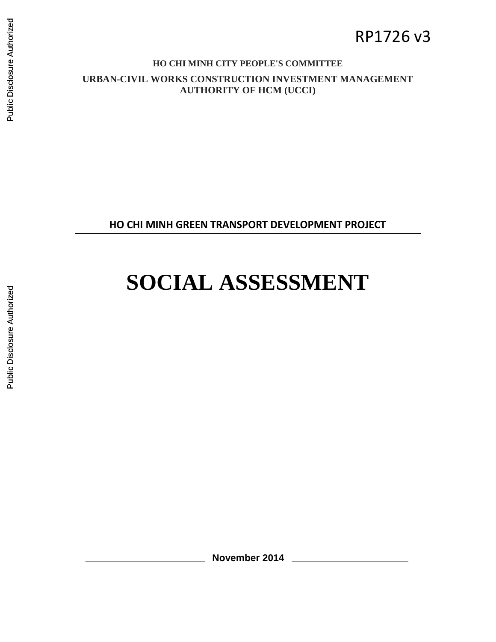# RP1726 v3

#### **HO CHI MINH CITY PEOPLE'S COMMITTEE**

**URBAN-CIVIL WORKS CONSTRUCTION INVESTMENT MANAGEMENT AUTHORITY OF HCM (UCCI)**

**HO CHI MINH GREEN TRANSPORT DEVELOPMENT PROJECT**

# **SOCIAL ASSESSMENT**

**November 2014**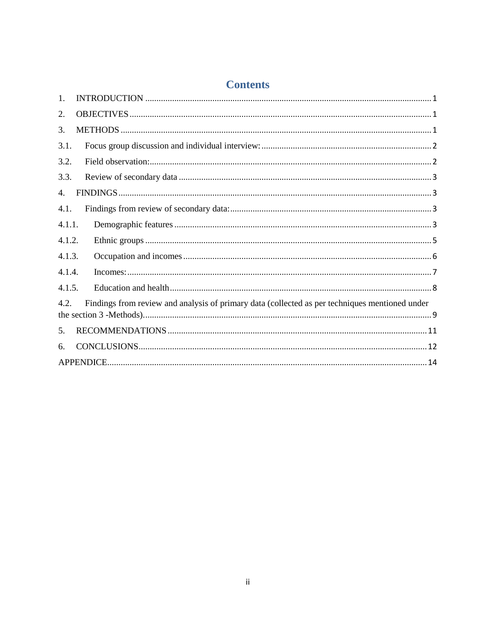| <b>Contents</b> |
|-----------------|
|-----------------|

| $\mathbf{1}$ . |                                                                                                |
|----------------|------------------------------------------------------------------------------------------------|
| 2.             |                                                                                                |
| 3.             |                                                                                                |
| 3.1.           |                                                                                                |
| 3.2.           |                                                                                                |
| 3.3.           |                                                                                                |
| $\mathbf{4}$ . |                                                                                                |
| 4.1.           |                                                                                                |
| 4.1.1.         |                                                                                                |
| 4.1.2.         |                                                                                                |
| 4.1.3.         |                                                                                                |
| 4.1.4.         |                                                                                                |
| 4.1.5.         |                                                                                                |
| 4.2.           | Findings from review and analysis of primary data (collected as per techniques mentioned under |
| 5.             |                                                                                                |
| 6.             |                                                                                                |
|                |                                                                                                |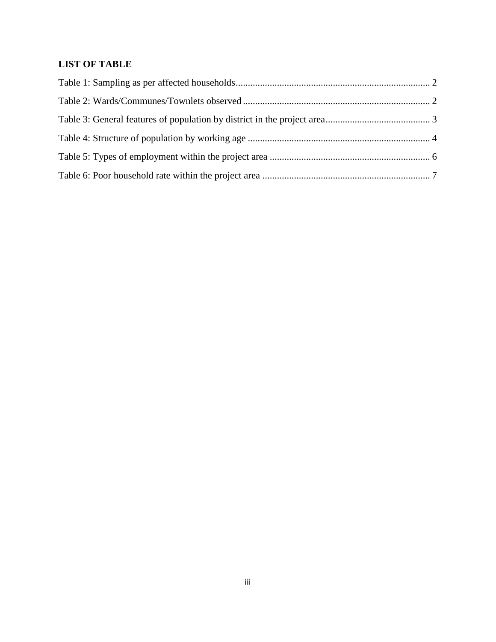# **LIST OF TABLE**

<span id="page-2-0"></span>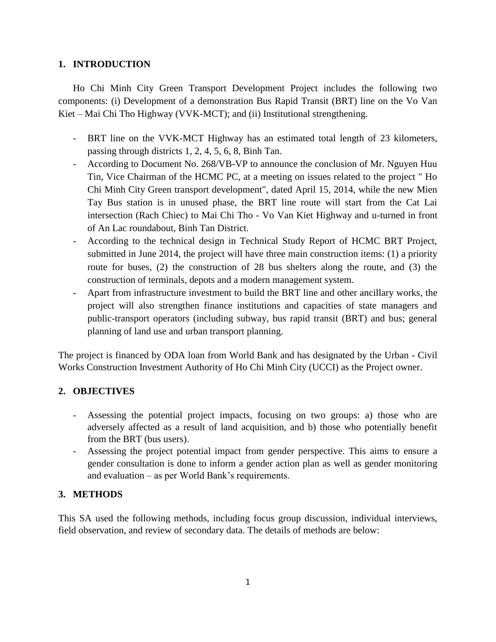#### **1. INTRODUCTION**

Ho Chi Minh City Green Transport Development Project includes the following two components: (i) Development of a demonstration Bus Rapid Transit (BRT) line on the Vo Van Kiet – Mai Chi Tho Highway (VVK-MCT); and (ii) Institutional strengthening.

- BRT line on the VVK-MCT Highway has an estimated total length of 23 kilometers, passing through districts 1, 2, 4, 5, 6, 8, Binh Tan.
- According to Document No. 268/VB-VP to announce the conclusion of Mr. Nguyen Huu Tin, Vice Chairman of the HCMC PC, at a meeting on issues related to the project " Ho Chi Minh City Green transport development", dated April 15, 2014, while the new Mien Tay Bus station is in unused phase, the BRT line route will start from the Cat Lai intersection (Rach Chiec) to Mai Chi Tho - Vo Van Kiet Highway and u-turned in front of An Lac roundabout, Binh Tan District.
- According to the technical design in Technical Study Report of HCMC BRT Project, submitted in June 2014, the project will have three main construction items: (1) a priority route for buses, (2) the construction of 28 bus shelters along the route, and (3) the construction of terminals, depots and a modern management system.
- Apart from infrastructure investment to build the BRT line and other ancillary works, the project will also strengthen finance institutions and capacities of state managers and public-transport operators (including subway, bus rapid transit (BRT) and bus; general planning of land use and urban transport planning.

The project is financed by ODA loan from World Bank and has designated by the Urban - Civil Works Construction Investment Authority of Ho Chi Minh City (UCCI) as the Project owner.

#### <span id="page-3-0"></span>**2. OBJECTIVES**

- Assessing the potential project impacts, focusing on two groups: a) those who are adversely affected as a result of land acquisition, and b) those who potentially benefit from the BRT (bus users).
- Assessing the project potential impact from gender perspective. This aims to ensure a gender consultation is done to inform a gender action plan as well as gender monitoring and evaluation – as per World Bank's requirements.

#### <span id="page-3-1"></span>**3. METHODS**

This SA used the following methods, including focus group discussion, individual interviews, field observation, and review of secondary data. The details of methods are below: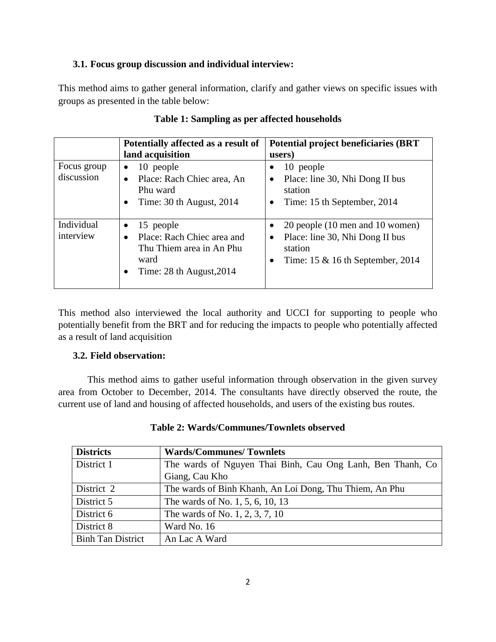#### <span id="page-4-0"></span>**3.1. Focus group discussion and individual interview:**

This method aims to gather general information, clarify and gather views on specific issues with groups as presented in the table below:

<span id="page-4-2"></span>

|                           | Potentially affected as a result of<br>land acquisition                                                                       | <b>Potential project beneficiaries (BRT)</b><br>users)                                                                              |
|---------------------------|-------------------------------------------------------------------------------------------------------------------------------|-------------------------------------------------------------------------------------------------------------------------------------|
| Focus group<br>discussion | 10 people<br>Place: Rach Chiec area, An<br>Phu ward<br>Time: 30 th August, 2014<br>٠                                          | 10 people<br>٠<br>Place: line 30, Nhi Dong II bus<br>٠<br>station<br>Time: 15 th September, 2014<br>$\bullet$                       |
| Individual<br>interview   | 15 people<br>٠<br>Place: Rach Chiec area and<br>$\bullet$<br>Thu Thiem area in An Phu<br>ward<br>Time: $28$ th August, $2014$ | 20 people (10 men and 10 women)<br>Place: line 30, Nhi Dong II bus<br>$\bullet$<br>station<br>Time: $15 \& 16$ th September, $2014$ |

#### **Table 1: Sampling as per affected households**

This method also interviewed the local authority and UCCI for supporting to people who potentially benefit from the BRT and for reducing the impacts to people who potentially affected as a result of land acquisition

#### <span id="page-4-1"></span>**3.2. Field observation:**

This method aims to gather useful information through observation in the given survey area from October to December, 2014. The consultants have directly observed the route, the current use of land and housing of affected households, and users of the existing bus routes.

<span id="page-4-3"></span>

| <b>Districts</b>         | <b>Wards/Communes/Townlets</b>                             |
|--------------------------|------------------------------------------------------------|
| District 1               | The wards of Nguyen Thai Binh, Cau Ong Lanh, Ben Thanh, Co |
|                          | Giang, Cau Kho                                             |
| District 2               | The wards of Binh Khanh, An Loi Dong, Thu Thiem, An Phu    |
| District 5               | The wards of No. 1, 5, 6, 10, 13                           |
| District 6               | The wards of No. 1, 2, 3, 7, 10                            |
| District 8               | Ward No. 16                                                |
| <b>Binh Tan District</b> | An Lac A Ward                                              |

#### **Table 2: Wards/Communes/Townlets observed**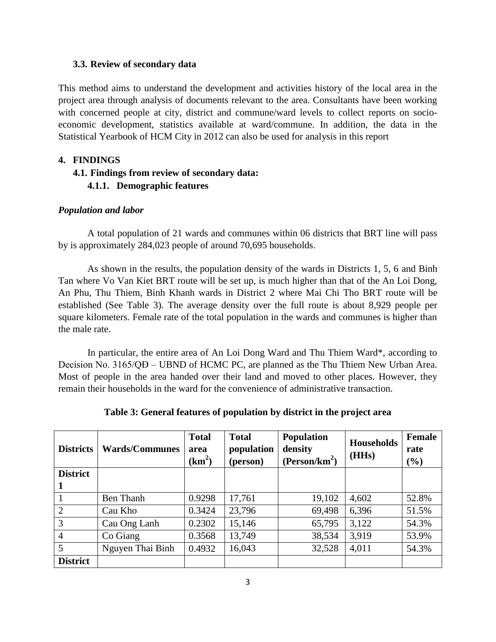#### <span id="page-5-0"></span>**3.3. Review of secondary data**

This method aims to understand the development and activities history of the local area in the project area through analysis of documents relevant to the area. Consultants have been working with concerned people at city, district and commune/ward levels to collect reports on socioeconomic development, statistics available at ward/commune. In addition, the data in the Statistical Yearbook of HCM City in 2012 can also be used for analysis in this report

#### <span id="page-5-2"></span><span id="page-5-1"></span>**4. FINDINGS**

#### <span id="page-5-3"></span>**4.1. Findings from review of secondary data: 4.1.1. Demographic features**

#### *Population and labor*

A total population of 21 wards and communes within 06 districts that BRT line will pass by is approximately 284,023 people of around 70,695 households.

As shown in the results, the population density of the wards in Districts 1, 5, 6 and Binh Tan where Vo Van Kiet BRT route will be set up, is much higher than that of the An Loi Dong, An Phu, Thu Thiem, Binh Khanh wards in District 2 where Mai Chi Tho BRT route will be established (See [Table 3\)](#page-5-4). The average density over the full route is about 8,929 people per square kilometers. Female rate of the total population in the wards and communes is higher than the male rate.

In particular, the entire area of An Loi Dong Ward and Thu Thiem Ward\*, according to Decision No. 3165/QĐ – UBND of HCMC PC, are planned as the Thu Thiem New Urban Area. Most of people in the area handed over their land and moved to other places. However, they remain their households in the ward for the convenience of administrative transaction.

<span id="page-5-4"></span>

| <b>Districts</b> | <b>Wards/Communes</b> | <b>Total</b><br>area<br>$(km^2)$ | <b>Total</b><br>population<br>(person) | <b>Population</b><br>density<br>(Person/km <sup>2</sup> ) | <b>Households</b><br>(HHs) | <b>Female</b><br>rate<br>(%) |
|------------------|-----------------------|----------------------------------|----------------------------------------|-----------------------------------------------------------|----------------------------|------------------------------|
| <b>District</b>  |                       |                                  |                                        |                                                           |                            |                              |
|                  |                       |                                  |                                        |                                                           |                            |                              |
|                  | Ben Thanh             | 0.9298                           | 17,761                                 | 19,102                                                    | 4,602                      | 52.8%                        |
| $\overline{2}$   | Cau Kho               | 0.3424                           | 23,796                                 | 69,498                                                    | 6,396                      | 51.5%                        |
| 3                | Cau Ong Lanh          | 0.2302                           | 15,146                                 | 65,795                                                    | 3,122                      | 54.3%                        |
| $\overline{4}$   | Co Giang              | 0.3568                           | 13,749                                 | 38,534                                                    | 3,919                      | 53.9%                        |
| 5                | Nguyen Thai Binh      | 0.4932                           | 16,043                                 | 32,528                                                    | 4,011                      | 54.3%                        |
| <b>District</b>  |                       |                                  |                                        |                                                           |                            |                              |

**Table 3: General features of population by district in the project area**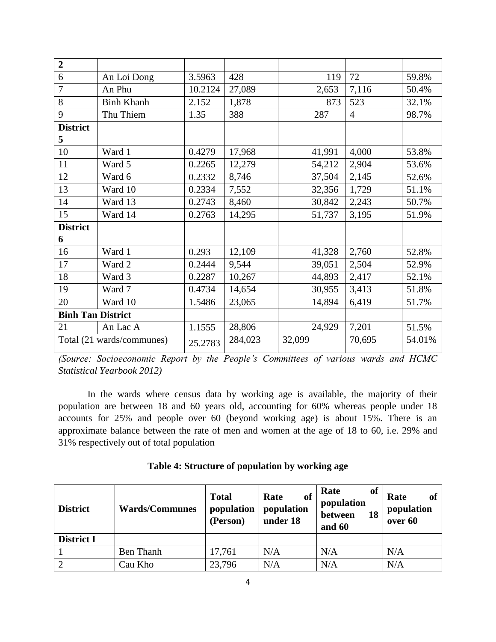| $\overline{2}$           |                           |         |         |        |                |        |
|--------------------------|---------------------------|---------|---------|--------|----------------|--------|
| 6                        | An Loi Dong               | 3.5963  | 428     | 119    | 72             | 59.8%  |
| $\overline{7}$           | An Phu                    | 10.2124 | 27,089  | 2,653  | 7,116          | 50.4%  |
| 8                        | <b>Binh Khanh</b>         | 2.152   | 1,878   | 873    | 523            | 32.1%  |
| 9                        | Thu Thiem                 | 1.35    | 388     | 287    | $\overline{4}$ | 98.7%  |
| <b>District</b>          |                           |         |         |        |                |        |
| 5                        |                           |         |         |        |                |        |
| 10                       | Ward 1                    | 0.4279  | 17,968  | 41,991 | 4,000          | 53.8%  |
| 11                       | Ward 5                    | 0.2265  | 12,279  | 54,212 | 2,904          | 53.6%  |
| 12                       | Ward 6                    | 0.2332  | 8,746   | 37,504 | 2,145          | 52.6%  |
| 13                       | Ward 10                   | 0.2334  | 7,552   | 32,356 | 1,729          | 51.1%  |
| 14                       | Ward 13                   | 0.2743  | 8,460   | 30,842 | 2,243          | 50.7%  |
| 15                       | Ward 14                   | 0.2763  | 14,295  | 51,737 | 3,195          | 51.9%  |
| <b>District</b>          |                           |         |         |        |                |        |
| 6                        |                           |         |         |        |                |        |
| 16                       | Ward 1                    | 0.293   | 12,109  | 41,328 | 2,760          | 52.8%  |
| 17                       | Ward 2                    | 0.2444  | 9,544   | 39,051 | 2,504          | 52.9%  |
| 18                       | Ward 3                    | 0.2287  | 10,267  | 44,893 | 2,417          | 52.1%  |
| 19                       | Ward 7                    | 0.4734  | 14,654  | 30,955 | 3,413          | 51.8%  |
| 20                       | Ward 10                   | 1.5486  | 23,065  | 14,894 | 6,419          | 51.7%  |
| <b>Binh Tan District</b> |                           |         |         |        |                |        |
| 21                       | An Lac A                  | 1.1555  | 28,806  | 24,929 | 7,201          | 51.5%  |
|                          | Total (21 wards/communes) | 25.2783 | 284,023 | 32,099 | 70,695         | 54.01% |

*(Source: Socioeconomic Report by the People's Committees of various wards and HCMC Statistical Yearbook 2012)*

In the wards where census data by working age is available, the majority of their population are between 18 and 60 years old, accounting for 60% whereas people under 18 accounts for 25% and people over 60 (beyond working age) is about 15%. There is an approximate balance between the rate of men and women at the age of 18 to 60, i.e. 29% and 31% respectively out of total population

|  |  | Table 4: Structure of population by working age |
|--|--|-------------------------------------------------|
|  |  |                                                 |

<span id="page-6-0"></span>

| <b>District</b>   | <b>Wards/Communes</b> | <b>Total</b><br>population<br>(Person) | of<br>Rate<br>population<br>under 18 | of<br>Rate<br>population<br>between<br>18<br>and 60 | of<br>Rate<br>population<br>over 60 |
|-------------------|-----------------------|----------------------------------------|--------------------------------------|-----------------------------------------------------|-------------------------------------|
| <b>District I</b> |                       |                                        |                                      |                                                     |                                     |
|                   | Ben Thanh             | 17,761                                 | N/A                                  | N/A                                                 | N/A                                 |
| $\bigcirc$        | Cau Kho               | 23,796                                 | N/A                                  | N/A                                                 | N/A                                 |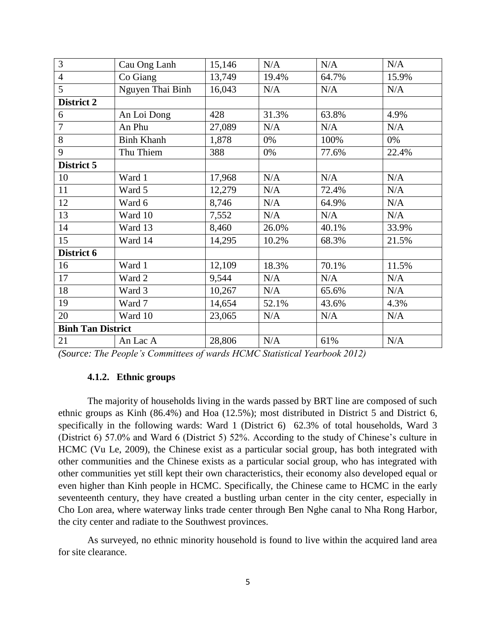| 3                        | Cau Ong Lanh      | 15,146 | N/A   | $\rm N/A$ | N/A   |
|--------------------------|-------------------|--------|-------|-----------|-------|
| $\overline{4}$           | Co Giang          | 13,749 | 19.4% | 64.7%     | 15.9% |
| $\overline{5}$           | Nguyen Thai Binh  | 16,043 | N/A   | N/A       | N/A   |
| District 2               |                   |        |       |           |       |
| 6                        | An Loi Dong       | 428    | 31.3% | 63.8%     | 4.9%  |
| $\overline{7}$           | An Phu            | 27,089 | N/A   | N/A       | N/A   |
| 8                        | <b>Binh Khanh</b> | 1,878  | 0%    | 100%      | 0%    |
| 9                        | Thu Thiem         | 388    | 0%    | 77.6%     | 22.4% |
| District 5               |                   |        |       |           |       |
| 10                       | Ward 1            | 17,968 | N/A   | N/A       | N/A   |
| 11                       | Ward 5            | 12,279 | N/A   | 72.4%     | N/A   |
| 12                       | Ward 6            | 8,746  | N/A   | 64.9%     | N/A   |
| 13                       | Ward 10           | 7,552  | N/A   | N/A       | N/A   |
| 14                       | Ward 13           | 8,460  | 26.0% | 40.1%     | 33.9% |
| 15                       | Ward 14           | 14,295 | 10.2% | 68.3%     | 21.5% |
| District 6               |                   |        |       |           |       |
| 16                       | Ward 1            | 12,109 | 18.3% | 70.1%     | 11.5% |
| 17                       | Ward 2            | 9,544  | N/A   | N/A       | N/A   |
| 18                       | Ward 3            | 10,267 | N/A   | 65.6%     | N/A   |
| 19                       | Ward 7            | 14,654 | 52.1% | 43.6%     | 4.3%  |
| 20                       | Ward 10           | 23,065 | N/A   | N/A       | N/A   |
| <b>Binh Tan District</b> |                   |        |       |           |       |
| 21                       | An Lac A          | 28,806 | N/A   | 61%       | N/A   |

<span id="page-7-0"></span>*(Source: The People's Committees of wards HCMC Statistical Yearbook 2012)*

#### **4.1.2. Ethnic groups**

The majority of households living in the wards passed by BRT line are composed of such ethnic groups as Kinh (86.4%) and Hoa (12.5%); most distributed in District 5 and District 6, specifically in the following wards: Ward 1 (District 6) 62.3% of total households, Ward 3 (District 6) 57.0% and Ward 6 (District 5) 52%. According to the study of Chinese's culture in HCMC (Vu Le, 2009), the Chinese exist as a particular social group, has both integrated with other communities and the Chinese exists as a particular social group, who has integrated with other communities yet still kept their own characteristics, their economy also developed equal or even higher than Kinh people in HCMC. Specifically, the Chinese came to HCMC in the early seventeenth century, they have created a bustling urban center in the city center, especially in Cho Lon area, where waterway links trade center through Ben Nghe canal to Nha Rong Harbor, the city center and radiate to the Southwest provinces.

As surveyed, no ethnic minority household is found to live within the acquired land area for site clearance.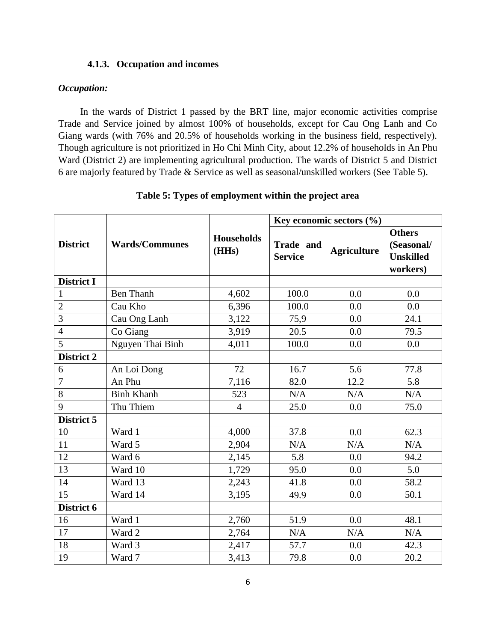#### **4.1.3. Occupation and incomes**

#### <span id="page-8-0"></span>*Occupation:*

In the wards of District 1 passed by the BRT line, major economic activities comprise Trade and Service joined by almost 100% of households, except for Cau Ong Lanh and Co Giang wards (with 76% and 20.5% of households working in the business field, respectively). Though agriculture is not prioritized in Ho Chi Minh City, about 12.2% of households in An Phu Ward (District 2) are implementing agricultural production. The wards of District 5 and District 6 are majorly featured by Trade & Service as well as seasonal/unskilled workers (See [Table 5\)](#page-8-1).

<span id="page-8-1"></span>

|                   | <b>Wards/Communes</b> | <b>Households</b><br>(HHs) | Key economic sectors $(\% )$ |                    |                                                             |  |
|-------------------|-----------------------|----------------------------|------------------------------|--------------------|-------------------------------------------------------------|--|
| <b>District</b>   |                       |                            | Trade and<br><b>Service</b>  | <b>Agriculture</b> | <b>Others</b><br>(Seasonal/<br><b>Unskilled</b><br>workers) |  |
| <b>District I</b> |                       |                            |                              |                    |                                                             |  |
| $\mathbf{1}$      | <b>Ben Thanh</b>      | 4,602                      | 100.0                        | 0.0                | 0.0                                                         |  |
| $\overline{2}$    | Cau Kho               | 6,396                      | 100.0                        | 0.0                | 0.0                                                         |  |
| 3                 | Cau Ong Lanh          | 3,122                      | 75,9                         | 0.0                | 24.1                                                        |  |
| $\overline{4}$    | Co Giang              | 3,919                      | 20.5                         | 0.0                | 79.5                                                        |  |
| 5                 | Nguyen Thai Binh      | 4,011                      | 100.0                        | 0.0                | 0.0                                                         |  |
| District 2        |                       |                            |                              |                    |                                                             |  |
| 6                 | An Loi Dong           | 72                         | 16.7                         | 5.6                | 77.8                                                        |  |
| $\overline{7}$    | An Phu                | 7,116                      | 82.0                         | 12.2               | 5.8                                                         |  |
| 8                 | <b>Binh Khanh</b>     | 523                        | N/A                          | N/A                | N/A                                                         |  |
| 9                 | Thu Thiem             | $\overline{4}$             | 25.0                         | 0.0                | 75.0                                                        |  |
| District 5        |                       |                            |                              |                    |                                                             |  |
| 10                | Ward 1                | 4,000                      | 37.8                         | 0.0                | 62.3                                                        |  |
| 11                | Ward 5                | 2,904                      | N/A                          | N/A                | N/A                                                         |  |
| 12                | Ward 6                | 2,145                      | 5.8                          | 0.0                | 94.2                                                        |  |
| 13                | Ward 10               | 1,729                      | 95.0                         | 0.0                | 5.0                                                         |  |
| 14                | Ward 13               | 2,243                      | 41.8                         | 0.0                | 58.2                                                        |  |
| 15                | Ward 14               | 3,195                      | 49.9                         | 0.0                | 50.1                                                        |  |
| District 6        |                       |                            |                              |                    |                                                             |  |
| 16                | Ward 1                | 2,760                      | 51.9                         | 0.0                | 48.1                                                        |  |
| 17                | Ward 2                | 2,764                      | N/A                          | N/A                | N/A                                                         |  |
| 18                | Ward 3                | 2,417                      | 57.7                         | 0.0                | 42.3                                                        |  |
| 19                | Ward 7                | 3,413                      | 79.8                         | 0.0                | 20.2                                                        |  |

**Table 5: Types of employment within the project area**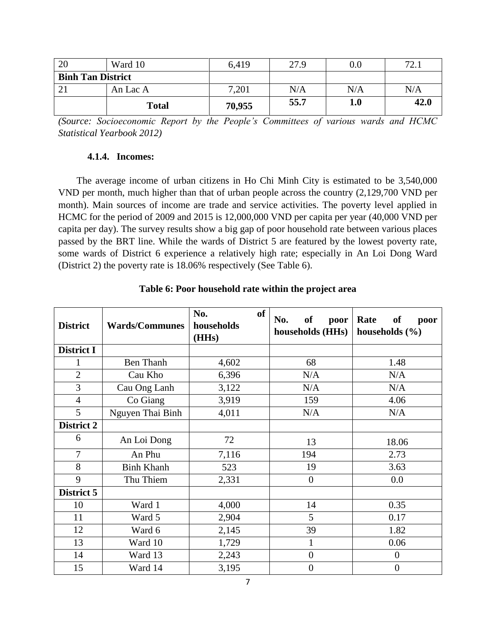| 20                       | Ward 10      | 6,419  | 27.9 | $0.0\,$ | 70.  |
|--------------------------|--------------|--------|------|---------|------|
| <b>Binh Tan District</b> |              |        |      |         |      |
|                          | An Lac A     | 7,201  | N/A  | N/A     | N/A  |
|                          | <b>Total</b> | 70,955 | 55.7 | 1.0     | 42.0 |

*(Source: Socioeconomic Report by the People's Committees of various wards and HCMC Statistical Yearbook 2012)*

#### **4.1.4. Incomes:**

<span id="page-9-0"></span>The average income of urban citizens in Ho Chi Minh City is estimated to be 3,540,000 VND per month, much higher than that of urban people across the country (2,129,700 VND per month). Main sources of income are trade and service activities. The poverty level applied in HCMC for the period of 2009 and 2015 is 12,000,000 VND per capita per year (40,000 VND per capita per day). The survey results show a big gap of poor household rate between various places passed by the BRT line. While the wards of District 5 are featured by the lowest poverty rate, some wards of District 6 experience a relatively high rate; especially in An Loi Dong Ward (District 2) the poverty rate is 18.06% respectively (See [Table 6\)](#page-9-1).

<span id="page-9-1"></span>

| <b>District</b> | <b>Wards/Communes</b> | No.<br>of<br>households<br>(HHs) | No.<br>of<br>poor<br>households (HHs) | Rate<br><b>of</b><br>poor<br>households $(\% )$ |
|-----------------|-----------------------|----------------------------------|---------------------------------------|-------------------------------------------------|
| District I      |                       |                                  |                                       |                                                 |
| 1               | <b>Ben</b> Thanh      | 4,602                            | 68                                    | 1.48                                            |
| $\overline{2}$  | Cau Kho               | 6,396                            | N/A                                   | N/A                                             |
| $\overline{3}$  | Cau Ong Lanh          | 3,122                            | N/A                                   | N/A                                             |
| $\overline{4}$  | Co Giang              | 3,919                            | 159                                   | 4.06                                            |
| 5               | Nguyen Thai Binh      | 4,011                            | N/A                                   | N/A                                             |
| District 2      |                       |                                  |                                       |                                                 |
| 6               | An Loi Dong           | 72                               | 13                                    | 18.06                                           |
| $\overline{7}$  | An Phu                | 7,116                            | 194                                   | 2.73                                            |
| 8               | <b>Binh Khanh</b>     | 523                              | 19                                    | 3.63                                            |
| 9               | Thu Thiem             | 2,331                            | $\overline{0}$                        | 0.0                                             |
| District 5      |                       |                                  |                                       |                                                 |
| 10              | Ward 1                | 4,000                            | 14                                    | 0.35                                            |
| 11              | Ward 5                | 2,904                            | 5                                     | 0.17                                            |
| 12              | Ward 6                | 2,145                            | 39                                    | 1.82                                            |
| 13              | Ward 10               | 1,729                            | $\mathbf{1}$                          | 0.06                                            |
| 14              | Ward 13               | 2,243                            | $\boldsymbol{0}$                      | $\boldsymbol{0}$                                |
| 15              | Ward 14               | 3,195                            | $\boldsymbol{0}$                      | $\boldsymbol{0}$                                |

#### **Table 6: Poor household rate within the project area**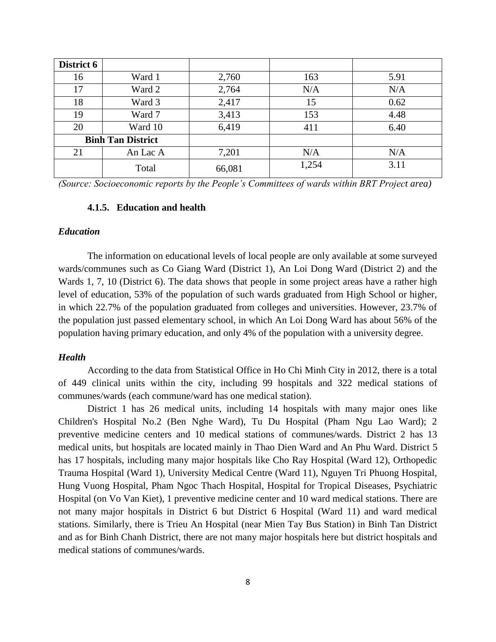| District 6 |                          |        |       |      |
|------------|--------------------------|--------|-------|------|
| 16         | Ward 1                   | 2,760  | 163   | 5.91 |
| 17         | Ward 2                   | 2,764  | N/A   | N/A  |
| 18         | Ward 3                   | 2,417  | 15    | 0.62 |
| 19         | Ward 7                   | 3,413  | 153   | 4.48 |
| 20         | Ward 10                  | 6,419  | 411   | 6.40 |
|            | <b>Binh Tan District</b> |        |       |      |
| 21         | An Lac A                 | 7,201  | N/A   | N/A  |
|            | Total                    | 66,081 | 1,254 | 3.11 |

<span id="page-10-0"></span>*(Source: Socioeconomic reports by the People's Committees of wards within BRT Project area)*

#### **4.1.5. Education and health**

#### *Education*

The information on educational levels of local people are only available at some surveyed wards/communes such as Co Giang Ward (District 1), An Loi Dong Ward (District 2) and the Wards 1, 7, 10 (District 6). The data shows that people in some project areas have a rather high level of education, 53% of the population of such wards graduated from High School or higher, in which 22.7% of the population graduated from colleges and universities. However, 23.7% of the population just passed elementary school, in which An Loi Dong Ward has about 56% of the population having primary education, and only 4% of the population with a university degree.

#### *Health*

According to the data from Statistical Office in Ho Chi Minh City in 2012, there is a total of 449 clinical units within the city, including 99 hospitals and 322 medical stations of communes/wards (each commune/ward has one medical station).

District 1 has 26 medical units, including 14 hospitals with many major ones like Children's Hospital No.2 (Ben Nghe Ward), Tu Du Hospital (Pham Ngu Lao Ward); 2 preventive medicine centers and 10 medical stations of communes/wards. District 2 has 13 medical units, but hospitals are located mainly in Thao Dien Ward and An Phu Ward. District 5 has 17 hospitals, including many major hospitals like Cho Ray Hospital (Ward 12), Orthopedic Trauma Hospital (Ward 1), University Medical Centre (Ward 11), Nguyen Tri Phuong Hospital, Hung Vuong Hospital, Pham Ngoc Thach Hospital, Hospital for Tropical Diseases, Psychiatric Hospital (on Vo Van Kiet), 1 preventive medicine center and 10 ward medical stations. There are not many major hospitals in District 6 but District 6 Hospital (Ward 11) and ward medical stations. Similarly, there is Trieu An Hospital (near Mien Tay Bus Station) in Binh Tan District and as for Binh Chanh District, there are not many major hospitals here but district hospitals and medical stations of communes/wards.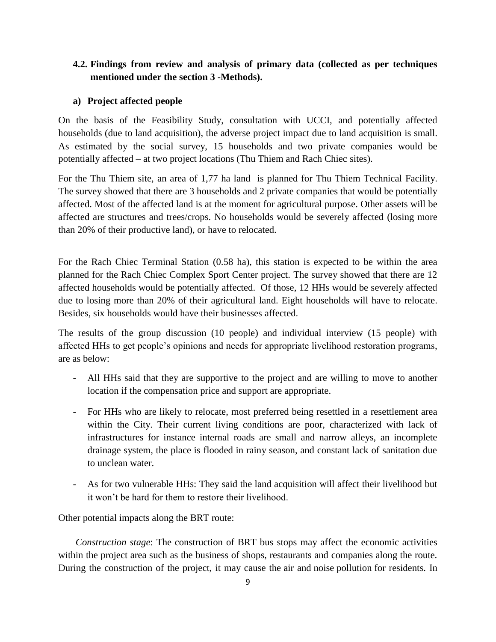#### <span id="page-11-0"></span>**4.2. Findings from review and analysis of primary data (collected as per techniques mentioned under the section 3 -Methods).**

#### **a) Project affected people**

On the basis of the Feasibility Study, consultation with UCCI, and potentially affected households (due to land acquisition), the adverse project impact due to land acquisition is small. As estimated by the social survey, 15 households and two private companies would be potentially affected – at two project locations (Thu Thiem and Rach Chiec sites).

For the Thu Thiem site, an area of 1,77 ha land is planned for Thu Thiem Technical Facility. The survey showed that there are 3 households and 2 private companies that would be potentially affected. Most of the affected land is at the moment for agricultural purpose. Other assets will be affected are structures and trees/crops. No households would be severely affected (losing more than 20% of their productive land), or have to relocated.

For the Rach Chiec Terminal Station (0.58 ha), this station is expected to be within the area planned for the Rach Chiec Complex Sport Center project. The survey showed that there are 12 affected households would be potentially affected. Of those, 12 HHs would be severely affected due to losing more than 20% of their agricultural land. Eight households will have to relocate. Besides, six households would have their businesses affected.

The results of the group discussion (10 people) and individual interview (15 people) with affected HHs to get people's opinions and needs for appropriate livelihood restoration programs, are as below:

- All HHs said that they are supportive to the project and are willing to move to another location if the compensation price and support are appropriate.
- For HHs who are likely to relocate, most preferred being resettled in a resettlement area within the City. Their current living conditions are poor, characterized with lack of infrastructures for instance internal roads are small and narrow alleys, an incomplete drainage system, the place is flooded in rainy season, and constant lack of sanitation due to unclean water.
- As for two vulnerable HHs: They said the land acquisition will affect their livelihood but it won't be hard for them to restore their livelihood.

Other potential impacts along the BRT route:

*Construction stage*: The construction of BRT bus stops may affect the economic activities within the project area such as the business of shops, restaurants and companies along the route. During the construction of the project, it may cause the air and noise pollution for residents. In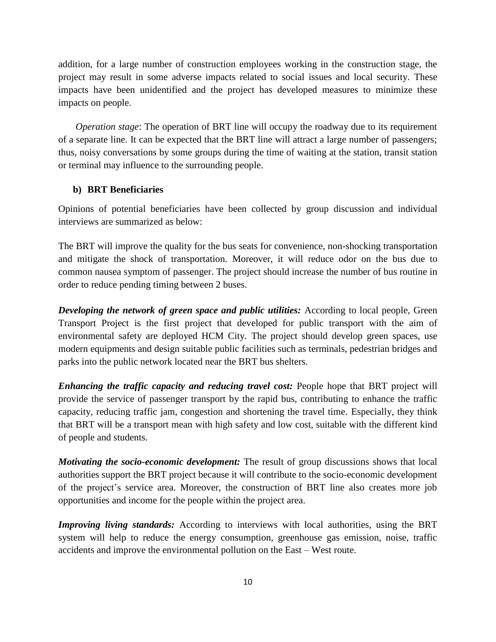addition, for a large number of construction employees working in the construction stage, the project may result in some adverse impacts related to social issues and local security. These impacts have been unidentified and the project has developed measures to minimize these impacts on people.

*Operation stage*: The operation of BRT line will occupy the roadway due to its requirement of a separate line. It can be expected that the BRT line will attract a large number of passengers; thus, noisy conversations by some groups during the time of waiting at the station, transit station or terminal may influence to the surrounding people.

#### **b) BRT Beneficiaries**

Opinions of potential beneficiaries have been collected by group discussion and individual interviews are summarized as below:

The BRT will improve the quality for the bus seats for convenience, non-shocking transportation and mitigate the shock of transportation. Moreover, it will reduce odor on the bus due to common nausea symptom of passenger. The project should increase the number of bus routine in order to reduce pending timing between 2 buses.

**Developing the network of green space and public utilities:** According to local people, Green Transport Project is the first project that developed for public transport with the aim of environmental safety are deployed HCM City. The project should develop green spaces, use modern equipments and design suitable public facilities such as terminals, pedestrian bridges and parks into the public network located near the BRT bus shelters.

*Enhancing the traffic capacity and reducing travel cost:* People hope that BRT project will provide the service of passenger transport by the rapid bus, contributing to enhance the traffic capacity, reducing traffic jam, congestion and shortening the travel time. Especially, they think that BRT will be a transport mean with high safety and low cost, suitable with the different kind of people and students.

*Motivating the socio-economic development:* The result of group discussions shows that local authorities support the BRT project because it will contribute to the socio-economic development of the project's service area. Moreover, the construction of BRT line also creates more job opportunities and income for the people within the project area.

*Improving living standards:* According to interviews with local authorities, using the BRT system will help to reduce the energy consumption, greenhouse gas emission, noise, traffic accidents and improve the environmental pollution on the East – West route.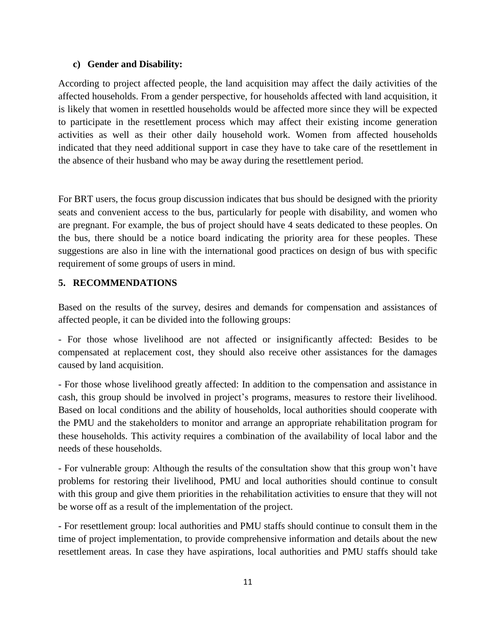#### **c) Gender and Disability:**

According to project affected people, the land acquisition may affect the daily activities of the affected households. From a gender perspective, for households affected with land acquisition, it is likely that women in resettled households would be affected more since they will be expected to participate in the resettlement process which may affect their existing income generation activities as well as their other daily household work. Women from affected households indicated that they need additional support in case they have to take care of the resettlement in the absence of their husband who may be away during the resettlement period.

For BRT users, the focus group discussion indicates that bus should be designed with the priority seats and convenient access to the bus, particularly for people with disability, and women who are pregnant. For example, the bus of project should have 4 seats dedicated to these peoples. On the bus, there should be a notice board indicating the priority area for these peoples. These suggestions are also in line with the international good practices on design of bus with specific requirement of some groups of users in mind.

#### <span id="page-13-0"></span>**5. RECOMMENDATIONS**

Based on the results of the survey, desires and demands for compensation and assistances of affected people, it can be divided into the following groups:

- For those whose livelihood are not affected or insignificantly affected: Besides to be compensated at replacement cost, they should also receive other assistances for the damages caused by land acquisition.

- For those whose livelihood greatly affected: In addition to the compensation and assistance in cash, this group should be involved in project's programs, measures to restore their livelihood. Based on local conditions and the ability of households, local authorities should cooperate with the PMU and the stakeholders to monitor and arrange an appropriate rehabilitation program for these households. This activity requires a combination of the availability of local labor and the needs of these households.

- For vulnerable group: Although the results of the consultation show that this group won't have problems for restoring their livelihood, PMU and local authorities should continue to consult with this group and give them priorities in the rehabilitation activities to ensure that they will not be worse off as a result of the implementation of the project.

- For resettlement group: local authorities and PMU staffs should continue to consult them in the time of project implementation, to provide comprehensive information and details about the new resettlement areas. In case they have aspirations, local authorities and PMU staffs should take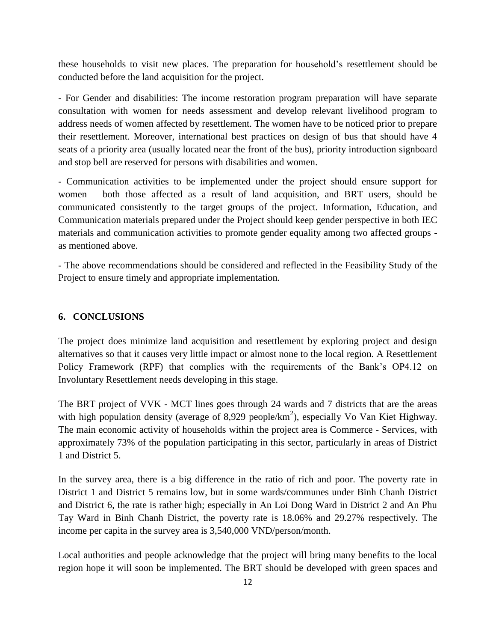these households to visit new places. The preparation for household's resettlement should be conducted before the land acquisition for the project.

- For Gender and disabilities: The income restoration program preparation will have separate consultation with women for needs assessment and develop relevant livelihood program to address needs of women affected by resettlement. The women have to be noticed prior to prepare their resettlement. Moreover, international best practices on design of bus that should have 4 seats of a priority area (usually located near the front of the bus), priority introduction signboard and stop bell are reserved for persons with disabilities and women.

- Communication activities to be implemented under the project should ensure support for women – both those affected as a result of land acquisition, and BRT users, should be communicated consistently to the target groups of the project. Information, Education, and Communication materials prepared under the Project should keep gender perspective in both IEC materials and communication activities to promote gender equality among two affected groups as mentioned above.

- The above recommendations should be considered and reflected in the Feasibility Study of the Project to ensure timely and appropriate implementation.

#### <span id="page-14-0"></span>**6. CONCLUSIONS**

The project does minimize land acquisition and resettlement by exploring project and design alternatives so that it causes very little impact or almost none to the local region. A Resettlement Policy Framework (RPF) that complies with the requirements of the Bank's OP4.12 on Involuntary Resettlement needs developing in this stage.

The BRT project of VVK - MCT lines goes through 24 wards and 7 districts that are the areas with high population density (average of 8,929 people/ $km^2$ ), especially Vo Van Kiet Highway. The main economic activity of households within the project area is Commerce - Services, with approximately 73% of the population participating in this sector, particularly in areas of District 1 and District 5.

In the survey area, there is a big difference in the ratio of rich and poor. The poverty rate in District 1 and District 5 remains low, but in some wards/communes under Binh Chanh District and District 6, the rate is rather high; especially in An Loi Dong Ward in District 2 and An Phu Tay Ward in Binh Chanh District, the poverty rate is 18.06% and 29.27% respectively. The income per capita in the survey area is 3,540,000 VND/person/month.

Local authorities and people acknowledge that the project will bring many benefits to the local region hope it will soon be implemented. The BRT should be developed with green spaces and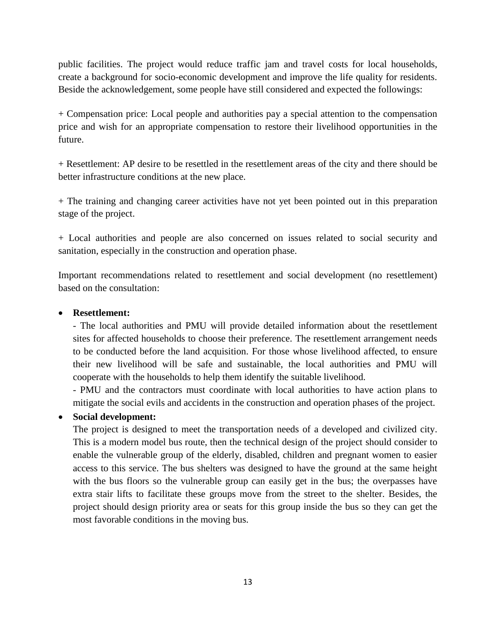public facilities. The project would reduce traffic jam and travel costs for local households, create a background for socio-economic development and improve the life quality for residents. Beside the acknowledgement, some people have still considered and expected the followings:

+ Compensation price: Local people and authorities pay a special attention to the compensation price and wish for an appropriate compensation to restore their livelihood opportunities in the future.

+ Resettlement: AP desire to be resettled in the resettlement areas of the city and there should be better infrastructure conditions at the new place.

+ The training and changing career activities have not yet been pointed out in this preparation stage of the project.

+ Local authorities and people are also concerned on issues related to social security and sanitation, especially in the construction and operation phase.

Important recommendations related to resettlement and social development (no resettlement) based on the consultation:

#### **Resettlement:**

- The local authorities and PMU will provide detailed information about the resettlement sites for affected households to choose their preference. The resettlement arrangement needs to be conducted before the land acquisition. For those whose livelihood affected, to ensure their new livelihood will be safe and sustainable, the local authorities and PMU will cooperate with the households to help them identify the suitable livelihood.

- PMU and the contractors must coordinate with local authorities to have action plans to mitigate the social evils and accidents in the construction and operation phases of the project.

#### **Social development:**

The project is designed to meet the transportation needs of a developed and civilized city. This is a modern model bus route, then the technical design of the project should consider to enable the vulnerable group of the elderly, disabled, children and pregnant women to easier access to this service. The bus shelters was designed to have the ground at the same height with the bus floors so the vulnerable group can easily get in the bus; the overpasses have extra stair lifts to facilitate these groups move from the street to the shelter. Besides, the project should design priority area or seats for this group inside the bus so they can get the most favorable conditions in the moving bus.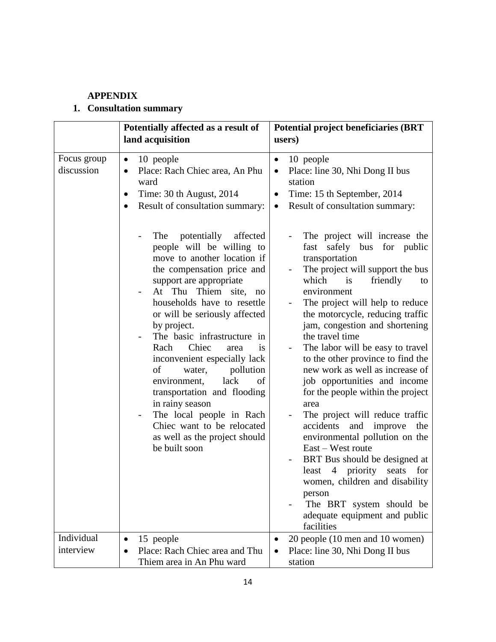# **APPENDIX**

# <span id="page-16-0"></span>**1. Consultation summary**

|                           | Potentially affected as a result of<br>land acquisition                                                                                                                                                                                                                                                                                                                                                                                                                                                                                                                            | <b>Potential project beneficiaries (BRT</b><br>users)                                                                                                                                                                                                                                                                                                                                                                                                                                                                                                                                                                                                                                                                                                                                                                                    |
|---------------------------|------------------------------------------------------------------------------------------------------------------------------------------------------------------------------------------------------------------------------------------------------------------------------------------------------------------------------------------------------------------------------------------------------------------------------------------------------------------------------------------------------------------------------------------------------------------------------------|------------------------------------------------------------------------------------------------------------------------------------------------------------------------------------------------------------------------------------------------------------------------------------------------------------------------------------------------------------------------------------------------------------------------------------------------------------------------------------------------------------------------------------------------------------------------------------------------------------------------------------------------------------------------------------------------------------------------------------------------------------------------------------------------------------------------------------------|
|                           |                                                                                                                                                                                                                                                                                                                                                                                                                                                                                                                                                                                    |                                                                                                                                                                                                                                                                                                                                                                                                                                                                                                                                                                                                                                                                                                                                                                                                                                          |
| Focus group<br>discussion | 10 people<br>$\bullet$<br>Place: Rach Chiec area, An Phu<br>$\bullet$<br>ward<br>Time: 30 th August, 2014<br>$\bullet$<br>Result of consultation summary:<br>$\bullet$                                                                                                                                                                                                                                                                                                                                                                                                             | 10 people<br>$\bullet$<br>Place: line 30, Nhi Dong II bus<br>$\bullet$<br>station<br>Time: 15 th September, 2014<br>$\bullet$<br>Result of consultation summary:<br>$\bullet$                                                                                                                                                                                                                                                                                                                                                                                                                                                                                                                                                                                                                                                            |
|                           | potentially<br>affected<br>The<br>people will be willing to<br>move to another location if<br>the compensation price and<br>support are appropriate<br>At Thu Thiem site, no<br>households have to resettle<br>or will be seriously affected<br>by project.<br>The basic infrastructure in<br>Chiec<br>Rach<br>is<br>area<br>inconvenient especially lack<br>of<br>pollution<br>water,<br>lack<br>environment,<br>of<br>transportation and flooding<br>in rainy season<br>The local people in Rach<br>Chiec want to be relocated<br>as well as the project should<br>be built soon | The project will increase the<br>fast<br>safely bus<br>for public<br>transportation<br>The project will support the bus<br>which<br>friendly<br>is<br>to<br>environment<br>The project will help to reduce<br>the motorcycle, reducing traffic<br>jam, congestion and shortening<br>the travel time<br>The labor will be easy to travel<br>to the other province to find the<br>new work as well as increase of<br>job opportunities and income<br>for the people within the project<br>area<br>The project will reduce traffic<br>accidents<br>and improve<br>the<br>environmental pollution on the<br>East – West route<br>BRT Bus should be designed at<br>priority<br>least<br>$\overline{4}$<br>seats<br>for<br>women, children and disability<br>person<br>The BRT system should be<br>adequate equipment and public<br>facilities |
| Individual                | 15 people<br>$\bullet$                                                                                                                                                                                                                                                                                                                                                                                                                                                                                                                                                             | 20 people (10 men and 10 women)                                                                                                                                                                                                                                                                                                                                                                                                                                                                                                                                                                                                                                                                                                                                                                                                          |
| interview                 | Place: Rach Chiec area and Thu<br>Thiem area in An Phu ward                                                                                                                                                                                                                                                                                                                                                                                                                                                                                                                        | Place: line 30, Nhi Dong II bus<br>station                                                                                                                                                                                                                                                                                                                                                                                                                                                                                                                                                                                                                                                                                                                                                                                               |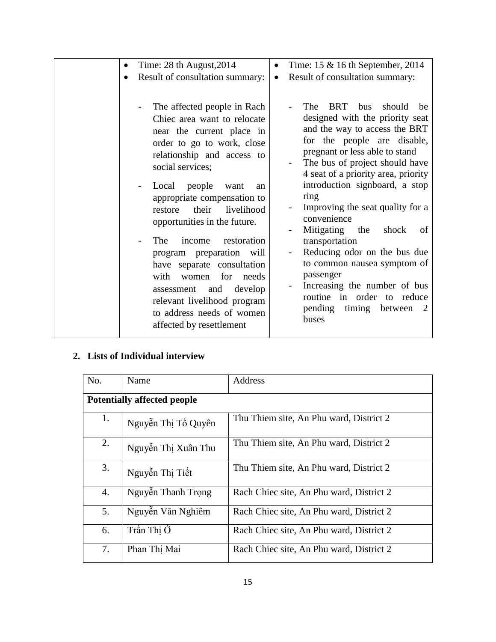| Time: $28$ th August, $2014$<br>$\bullet$                                                                                                                                                                                                                                                                                                                                                                                                                                                                                                           | Time: 15 & 16 th September, 2014                                                                                                                                                                                                                                                                                                                                                                                                                                                                                                                                                                |
|-----------------------------------------------------------------------------------------------------------------------------------------------------------------------------------------------------------------------------------------------------------------------------------------------------------------------------------------------------------------------------------------------------------------------------------------------------------------------------------------------------------------------------------------------------|-------------------------------------------------------------------------------------------------------------------------------------------------------------------------------------------------------------------------------------------------------------------------------------------------------------------------------------------------------------------------------------------------------------------------------------------------------------------------------------------------------------------------------------------------------------------------------------------------|
| Result of consultation summary:<br>$\bullet$                                                                                                                                                                                                                                                                                                                                                                                                                                                                                                        | Result of consultation summary:<br>$\bullet$                                                                                                                                                                                                                                                                                                                                                                                                                                                                                                                                                    |
| The affected people in Rach<br>Chiec area want to relocate<br>near the current place in<br>order to go to work, close<br>relationship and access to<br>social services;<br>Local people<br>want<br>an<br>appropriate compensation to<br>their<br>livelihood<br>restore<br>opportunities in the future.<br>The<br>restoration<br>income<br>program preparation will<br>have separate consultation<br>women for needs<br>with<br>and<br>develop<br>assessment<br>relevant livelihood program<br>to address needs of women<br>affected by resettlement | The<br><b>BRT</b><br>should<br>bus<br>be<br>designed with the priority seat<br>and the way to access the BRT<br>for the people are disable,<br>pregnant or less able to stand<br>The bus of project should have<br>4 seat of a priority area, priority<br>introduction signboard, a stop<br>ring<br>Improving the seat quality for a<br>convenience<br>Mitigating<br>the<br>shock<br>of<br>transportation<br>Reducing odor on the bus due<br>to common nausea symptom of<br>passenger<br>Increasing the number of bus<br>routine in order to reduce<br>pending<br>timing between<br>-2<br>buses |

# **2. Lists of Individual interview**

| No.                                | Name                | Address                                  |
|------------------------------------|---------------------|------------------------------------------|
| <b>Potentially affected people</b> |                     |                                          |
| 1.                                 | Nguyễn Thị Tố Quyên | Thu Thiem site, An Phu ward, District 2  |
| 2.                                 | Nguyễn Thị Xuân Thu | Thu Thiem site, An Phu ward, District 2  |
| 3.                                 | Nguyễn Thị Tiết     | Thu Thiem site, An Phu ward, District 2  |
| 4.                                 | Nguyễn Thanh Trọng  | Rach Chiec site, An Phu ward, District 2 |
| 5.                                 | Nguyễn Văn Nghiêm   | Rach Chiec site, An Phu ward, District 2 |
| 6.                                 | Trần Thi Ó          | Rach Chiec site, An Phu ward, District 2 |
| 7.                                 | Phan Thi Mai        | Rach Chiec site, An Phu ward, District 2 |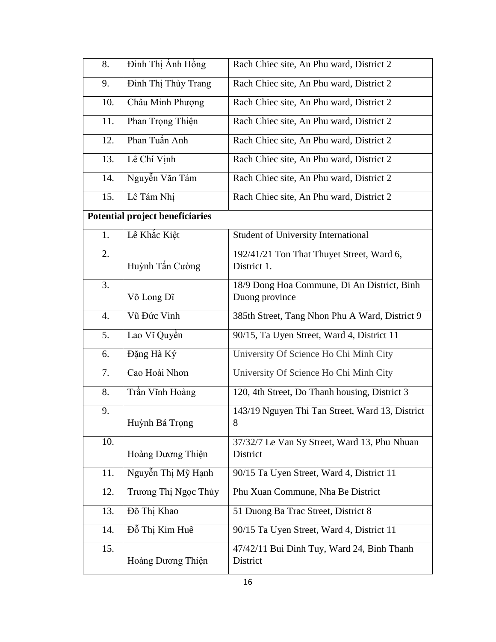| 8.               | Đinh Thị Ánh Hồng               | Rach Chiec site, An Phu ward, District 2                 |
|------------------|---------------------------------|----------------------------------------------------------|
| 9.               | Đinh Thị Thùy Trang             | Rach Chiec site, An Phu ward, District 2                 |
| 10.              | Châu Minh Phượng                | Rach Chiec site, An Phu ward, District 2                 |
| 11.              | Phan Trọng Thiện                | Rach Chiec site, An Phu ward, District 2                 |
| 12.              | Phan Tuấn Anh                   | Rach Chiec site, An Phu ward, District 2                 |
| 13.              | Lê Chí Vịnh                     | Rach Chiec site, An Phu ward, District 2                 |
| 14.              | Nguyễn Văn Tám                  | Rach Chiec site, An Phu ward, District 2                 |
| 15.              | Lê Tám Nhị                      | Rach Chiec site, An Phu ward, District 2                 |
|                  | Potential project beneficiaries |                                                          |
| 1.               | Lê Khắc Kiệt                    | <b>Student of University International</b>               |
| 2.               | Huỳnh Tấn Cường                 | 192/41/21 Ton That Thuyet Street, Ward 6,<br>District 1. |
| 3.               |                                 | 18/9 Dong Hoa Commune, Di An District, Binh              |
|                  | Võ Long Dĩ                      | Duong province                                           |
| $\overline{4}$ . | Vũ Đức Vinh                     | 385th Street, Tang Nhon Phu A Ward, District 9           |
| 5.               | Lao Vĩ Quyền                    | 90/15, Ta Uyen Street, Ward 4, District 11               |
| 6.               | Đặng Hà Ký                      | University Of Science Ho Chi Minh City                   |
| 7.               | Cao Hoài Nhơn                   | University Of Science Ho Chi Minh City                   |
| 8.               | Trần Vĩnh Hoàng                 | 120, 4th Street, Do Thanh housing, District 3            |
| 9.               | Huỳnh Bá Trọng                  | 143/19 Nguyen Thi Tan Street, Ward 13, District<br>8     |
| 10.              | Hoàng Dương Thiện               | 37/32/7 Le Van Sy Street, Ward 13, Phu Nhuan<br>District |
| 11.              | Nguyễn Thị Mỹ Hạnh              | 90/15 Ta Uyen Street, Ward 4, District 11                |
| 12.              | Trương Thị Ngọc Thủy            | Phu Xuan Commune, Nha Be District                        |
| 13.              | Đõ Thị Khao                     | 51 Duong Ba Trac Street, District 8                      |
| 14.              | Đỗ Thị Kim Huê                  | 90/15 Ta Uyen Street, Ward 4, District 11                |
| 15.              | Hoàng Dương Thiện               | 47/42/11 Bui Dinh Tuy, Ward 24, Binh Thanh<br>District   |